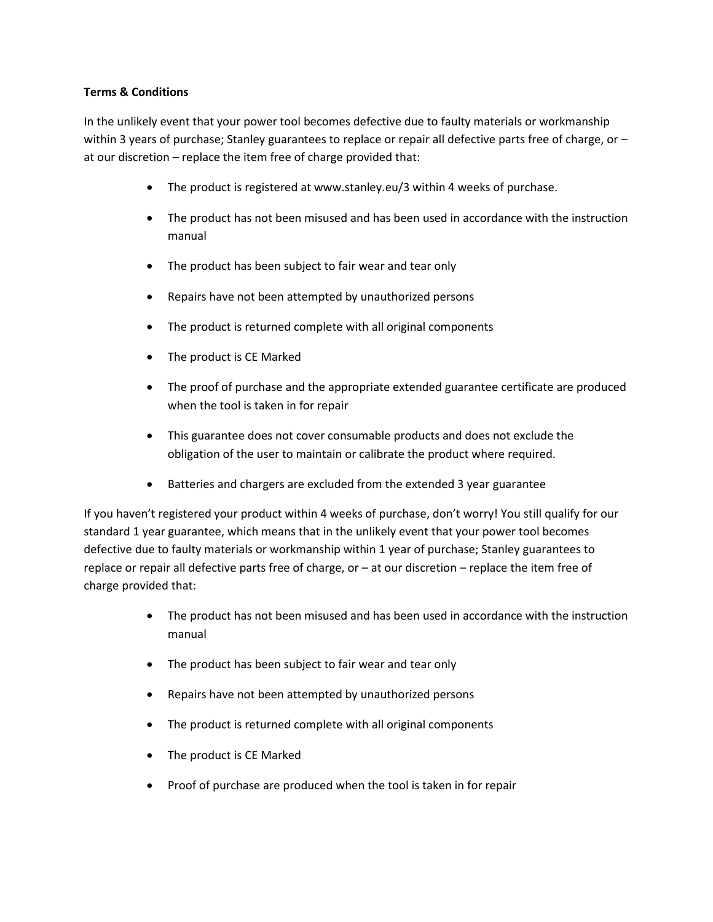## **Terms & Conditions**

In the unlikely event that your power tool becomes defective due to faulty materials or workmanship within 3 years of purchase; Stanley guarantees to replace or repair all defective parts free of charge, or – at our discretion – replace the item free of charge provided that:

- The product is registered at www.stanley.eu/3 within 4 weeks of purchase.
- The product has not been misused and has been used in accordance with the instruction manual
- The product has been subject to fair wear and tear only
- Repairs have not been attempted by unauthorized persons
- The product is returned complete with all original components
- The product is CE Marked
- The proof of purchase and the appropriate extended guarantee certificate are produced when the tool is taken in for repair
- This guarantee does not cover consumable products and does not exclude the obligation of the user to maintain or calibrate the product where required.
- Batteries and chargers are excluded from the extended 3 year guarantee

If you haven't registered your product within 4 weeks of purchase, don't worry! You still qualify for our standard 1 year guarantee, which means that in the unlikely event that your power tool becomes defective due to faulty materials or workmanship within 1 year of purchase; Stanley guarantees to replace or repair all defective parts free of charge, or – at our discretion – replace the item free of charge provided that:

- The product has not been misused and has been used in accordance with the instruction manual
- The product has been subject to fair wear and tear only
- Repairs have not been attempted by unauthorized persons
- The product is returned complete with all original components
- The product is CE Marked
- Proof of purchase are produced when the tool is taken in for repair